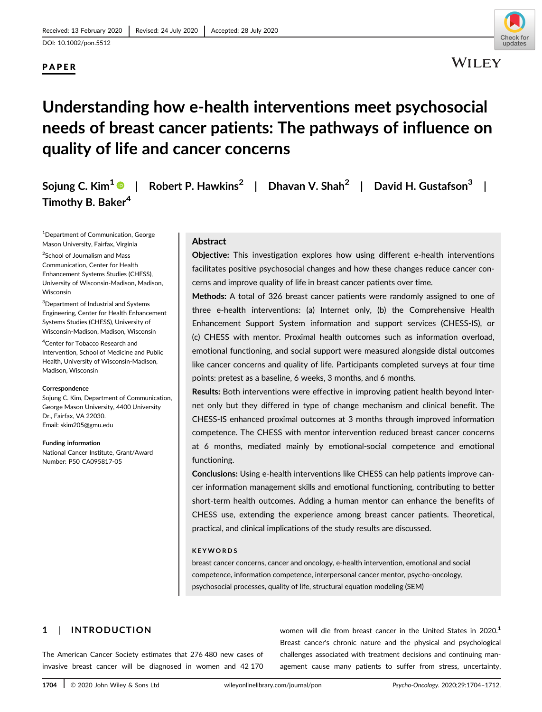# PAPER



# Understanding how e-health interventions meet psychosocial needs of breast cancer patients: The pathways of influence on quality of life and cancer concerns

Sojung C. Kim<sup>1</sup>  $\bullet$  | Robert P. Hawkins<sup>2</sup> | Dhavan V. Shah<sup>2</sup> | David H. Gustafson<sup>3</sup> | Timothy B. Baker<sup>4</sup>

1 Department of Communication, George Mason University, Fairfax, Virginia

<sup>2</sup>School of Journalism and Mass Communication, Center for Health Enhancement Systems Studies (CHESS), University of Wisconsin-Madison, Madison, Wisconsin

<sup>3</sup>Department of Industrial and Systems Engineering, Center for Health Enhancement Systems Studies (CHESS), University of Wisconsin-Madison, Madison, Wisconsin

4 Center for Tobacco Research and Intervention, School of Medicine and Public Health, University of Wisconsin-Madison, Madison, Wisconsin

#### Correspondence

Sojung C. Kim, Department of Communication, George Mason University, 4400 University Dr., Fairfax, VA 22030. Email: [skim205@gmu.edu](mailto:skim205@gmu.edu)

#### Funding information

National Cancer Institute, Grant/Award Number: P50 CA095817-05

# Abstract

Objective: This investigation explores how using different e-health interventions facilitates positive psychosocial changes and how these changes reduce cancer concerns and improve quality of life in breast cancer patients over time.

Methods: A total of 326 breast cancer patients were randomly assigned to one of three e-health interventions: (a) Internet only, (b) the Comprehensive Health Enhancement Support System information and support services (CHESS-IS), or (c) CHESS with mentor. Proximal health outcomes such as information overload, emotional functioning, and social support were measured alongside distal outcomes like cancer concerns and quality of life. Participants completed surveys at four time points: pretest as a baseline, 6 weeks, 3 months, and 6 months.

Results: Both interventions were effective in improving patient health beyond Internet only but they differed in type of change mechanism and clinical benefit. The CHESS-IS enhanced proximal outcomes at 3 months through improved information competence. The CHESS with mentor intervention reduced breast cancer concerns at 6 months, mediated mainly by emotional-social competence and emotional functioning.

Conclusions: Using e-health interventions like CHESS can help patients improve cancer information management skills and emotional functioning, contributing to better short-term health outcomes. Adding a human mentor can enhance the benefits of CHESS use, extending the experience among breast cancer patients. Theoretical, practical, and clinical implications of the study results are discussed.

#### KEYWORDS

breast cancer concerns, cancer and oncology, e-health intervention, emotional and social competence, information competence, interpersonal cancer mentor, psycho-oncology, psychosocial processes, quality of life, structural equation modeling (SEM)

# 1 | INTRODUCTION

The American Cancer Society estimates that 276 480 new cases of invasive breast cancer will be diagnosed in women and 42 170 women will die from breast cancer in the United States in 2020.<sup>1</sup> Breast cancer's chronic nature and the physical and psychological challenges associated with treatment decisions and continuing management cause many patients to suffer from stress, uncertainty,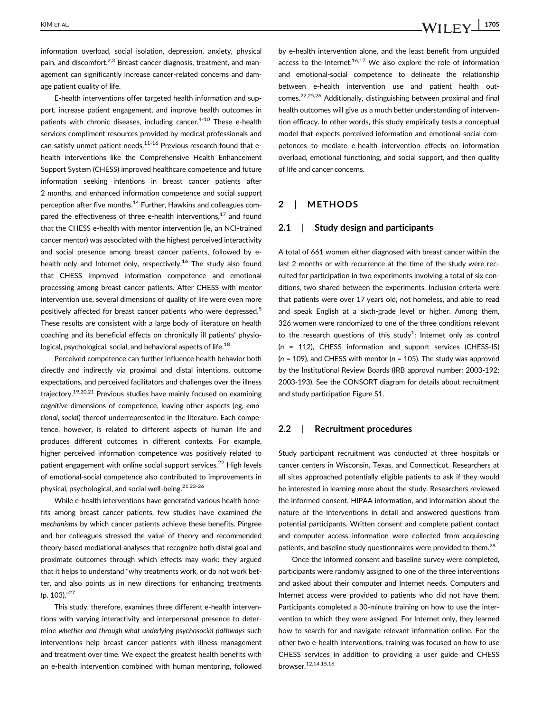information overload, social isolation, depression, anxiety, physical pain, and discomfort.<sup>2,3</sup> Breast cancer diagnosis, treatment, and management can significantly increase cancer-related concerns and damage patient quality of life.

E-health interventions offer targeted health information and support, increase patient engagement, and improve health outcomes in patients with chronic diseases, including cancer.<sup>4-10</sup> These e-health services compliment resources provided by medical professionals and can satisfy unmet patient needs. $11-16$  Previous research found that ehealth interventions like the Comprehensive Health Enhancement Support System (CHESS) improved healthcare competence and future information seeking intentions in breast cancer patients after 2 months, and enhanced information competence and social support perception after five months.14 Further, Hawkins and colleagues compared the effectiveness of three e-health interventions.<sup>17</sup> and found that the CHESS e-health with mentor intervention (ie, an NCI-trained cancer mentor) was associated with the highest perceived interactivity and social presence among breast cancer patients, followed by ehealth only and Internet only, respectively.<sup>16</sup> The study also found that CHESS improved information competence and emotional processing among breast cancer patients. After CHESS with mentor intervention use, several dimensions of quality of life were even more positively affected for breast cancer patients who were depressed.<sup>5</sup> These results are consistent with a large body of literature on health coaching and its beneficial effects on chronically ill patients' physiological, psychological, social, and behavioral aspects of life.<sup>18</sup>

Perceived competence can further influence health behavior both directly and indirectly via proximal and distal intentions, outcome expectations, and perceived facilitators and challenges over the illness trajectory.19,20,21 Previous studies have mainly focused on examining cognitive dimensions of competence, leaving other aspects (eg, emotional, social) thereof underrepresented in the literature. Each competence, however, is related to different aspects of human life and produces different outcomes in different contexts. For example, higher perceived information competence was positively related to patient engagement with online social support services.<sup>22</sup> High levels of emotional-social competence also contributed to improvements in physical, psychological, and social well-being.21,23-26

While e-health interventions have generated various health benefits among breast cancer patients, few studies have examined the mechanisms by which cancer patients achieve these benefits. Pingree and her colleagues stressed the value of theory and recommended theory-based mediational analyses that recognize both distal goal and proximate outcomes through which effects may work: they argued that it helps to understand "why treatments work, or do not work better, and also points us in new directions for enhancing treatments (p. 103)."<sup>27</sup>

This study, therefore, examines three different e-health interventions with varying interactivity and interpersonal presence to determine whether and through what underlying psychosocial pathways such interventions help breast cancer patients with illness management and treatment over time. We expect the greatest health benefits with an e-health intervention combined with human mentoring, followed by e-health intervention alone, and the least benefit from unguided access to the Internet. $16,17$  We also explore the role of information and emotional-social competence to delineate the relationship between e-health intervention use and patient health outcomes.22,25,26 Additionally, distinguishing between proximal and final health outcomes will give us a much better understanding of intervention efficacy. In other words, this study empirically tests a conceptual model that expects perceived information and emotional-social competences to mediate e-health intervention effects on information overload, emotional functioning, and social support, and then quality of life and cancer concerns.

# 2 | METHODS

# 2.1 | Study design and participants

A total of 661 women either diagnosed with breast cancer within the last 2 months or with recurrence at the time of the study were recruited for participation in two experiments involving a total of six conditions, two shared between the experiments. Inclusion criteria were that patients were over 17 years old, not homeless, and able to read and speak English at a sixth-grade level or higher. Among them, 326 women were randomized to one of the three conditions relevant to the research questions of this study<sup>1</sup>: Internet only as control  $(n = 112)$ , CHESS information and support services (CHESS-IS)  $(n = 109)$ , and CHESS with mentor  $(n = 105)$ . The study was approved by the Institutional Review Boards (IRB approval number: 2003-192; 2003-193). See the CONSORT diagram for details about recruitment and study participation Figure S1.

# 2.2 | Recruitment procedures

Study participant recruitment was conducted at three hospitals or cancer centers in Wisconsin, Texas, and Connecticut. Researchers at all sites approached potentially eligible patients to ask if they would be interested in learning more about the study. Researchers reviewed the informed consent, HIPAA information, and information about the nature of the interventions in detail and answered questions from potential participants. Written consent and complete patient contact and computer access information were collected from acquiescing patients, and baseline study questionnaires were provided to them.<sup>28</sup>

Once the informed consent and baseline survey were completed, participants were randomly assigned to one of the three interventions and asked about their computer and Internet needs. Computers and Internet access were provided to patients who did not have them. Participants completed a 30-minute training on how to use the intervention to which they were assigned. For Internet only, they learned how to search for and navigate relevant information online. For the other two e-health interventions, training was focused on how to use CHESS services in addition to providing a user guide and CHESS browser.12,14,15,16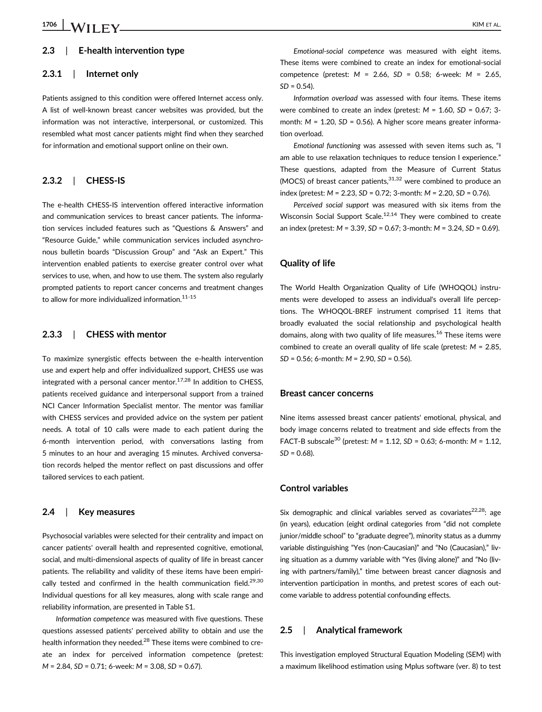# 2.3 | E-health intervention type

## 2.3.1 | Internet only

Patients assigned to this condition were offered Internet access only. A list of well-known breast cancer websites was provided, but the information was not interactive, interpersonal, or customized. This resembled what most cancer patients might find when they searched for information and emotional support online on their own.

# 2.3.2 | CHESS-IS

The e-health CHESS-IS intervention offered interactive information and communication services to breast cancer patients. The information services included features such as "Questions & Answers" and "Resource Guide," while communication services included asynchronous bulletin boards "Discussion Group" and "Ask an Expert." This intervention enabled patients to exercise greater control over what services to use, when, and how to use them. The system also regularly prompted patients to report cancer concerns and treatment changes to allow for more individualized information. $11-15$ 

#### 2.3.3 | CHESS with mentor

To maximize synergistic effects between the e-health intervention use and expert help and offer individualized support, CHESS use was integrated with a personal cancer mentor. $17,28$  In addition to CHESS, patients received guidance and interpersonal support from a trained NCI Cancer Information Specialist mentor. The mentor was familiar with CHESS services and provided advice on the system per patient needs. A total of 10 calls were made to each patient during the 6-month intervention period, with conversations lasting from 5 minutes to an hour and averaging 15 minutes. Archived conversation records helped the mentor reflect on past discussions and offer tailored services to each patient.

#### 2.4 | Key measures

Psychosocial variables were selected for their centrality and impact on cancer patients' overall health and represented cognitive, emotional, social, and multi-dimensional aspects of quality of life in breast cancer patients. The reliability and validity of these items have been empirically tested and confirmed in the health communication field. $29,30$ Individual questions for all key measures, along with scale range and reliability information, are presented in Table S1.

Information competence was measured with five questions. These questions assessed patients' perceived ability to obtain and use the health information they needed.<sup>28</sup> These items were combined to create an index for perceived information competence (pretest: M = 2.84, SD = 0.71; 6-week: M = 3.08, SD = 0.67).

Emotional-social competence was measured with eight items. These items were combined to create an index for emotional-social competence (pretest: M = 2.66, SD = 0.58; 6-week: M = 2.65,  $SD = 0.54$ ).

Information overload was assessed with four items. These items were combined to create an index (pretest:  $M = 1.60$ ,  $SD = 0.67$ ; 3month:  $M = 1.20$ ,  $SD = 0.56$ ). A higher score means greater information overload.

Emotional functioning was assessed with seven items such as, "I am able to use relaxation techniques to reduce tension I experience." These questions, adapted from the Measure of Current Status (MOCS) of breast cancer patients,  $31,32$  were combined to produce an index (pretest:  $M = 2.23$ ,  $SD = 0.72$ ; 3-month:  $M = 2.20$ ,  $SD = 0.76$ ).

Perceived social support was measured with six items from the Wisconsin Social Support Scale.<sup>12,14</sup> They were combined to create an index (pretest: M = 3.39, SD = 0.67; 3-month: M = 3.24, SD = 0.69).

# Quality of life

The World Health Organization Quality of Life (WHOQOL) instruments were developed to assess an individual's overall life perceptions. The WHOQOL-BREF instrument comprised 11 items that broadly evaluated the social relationship and psychological health domains, along with two quality of life measures.<sup>16</sup> These items were combined to create an overall quality of life scale (pretest: M = 2.85,  $SD = 0.56$ ; 6-month:  $M = 2.90$ ,  $SD = 0.56$ ).

#### Breast cancer concerns

Nine items assessed breast cancer patients' emotional, physical, and body image concerns related to treatment and side effects from the FACT-B subscale<sup>30</sup> (pretest:  $M = 1.12$ ,  $SD = 0.63$ ; 6-month:  $M = 1.12$ ,  $SD = 0.68$ ).

#### Control variables

Six demographic and clinical variables served as covariates $^{22,28}$ : age (in years), education (eight ordinal categories from "did not complete junior/middle school" to "graduate degree"), minority status as a dummy variable distinguishing "Yes (non-Caucasian)" and "No (Caucasian)," living situation as a dummy variable with "Yes (living alone)" and "No (living with partners/family)," time between breast cancer diagnosis and intervention participation in months, and pretest scores of each outcome variable to address potential confounding effects.

#### 2.5 | Analytical framework

This investigation employed Structural Equation Modeling (SEM) with a maximum likelihood estimation using Mplus software (ver. 8) to test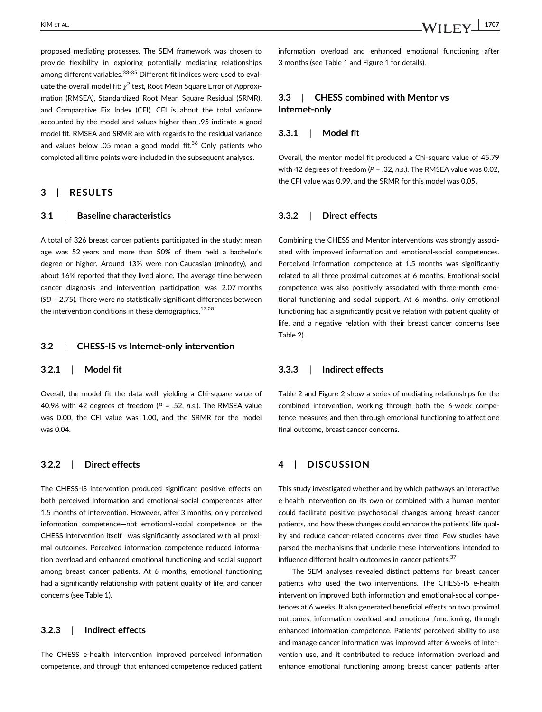proposed mediating processes. The SEM framework was chosen to provide flexibility in exploring potentially mediating relationships among different variables.<sup>33-35</sup> Different fit indices were used to evaluate the overall model fit:  $\chi^2$  test, Root Mean Square Error of Approximation (RMSEA), Standardized Root Mean Square Residual (SRMR), and Comparative Fix Index (CFI). CFI is about the total variance accounted by the model and values higher than .95 indicate a good model fit. RMSEA and SRMR are with regards to the residual variance and values below .05 mean a good model fit.<sup>36</sup> Only patients who completed all time points were included in the subsequent analyses.

# 3 | RESULTS

## 3.1 | Baseline characteristics

A total of 326 breast cancer patients participated in the study; mean age was 52 years and more than 50% of them held a bachelor's degree or higher. Around 13% were non-Caucasian (minority), and about 16% reported that they lived alone. The average time between cancer diagnosis and intervention participation was 2.07 months (SD = 2.75). There were no statistically significant differences between the intervention conditions in these demographics.  $17,28$ 

# 3.2 | CHESS-IS vs Internet-only intervention

#### 3.2.1 | Model fit

Overall, the model fit the data well, yielding a Chi-square value of 40.98 with 42 degrees of freedom ( $P = .52$ , n.s.). The RMSEA value was 0.00, the CFI value was 1.00, and the SRMR for the model was 0.04.

# 3.2.2 | Direct effects

The CHESS-IS intervention produced significant positive effects on both perceived information and emotional-social competences after 1.5 months of intervention. However, after 3 months, only perceived information competence—not emotional-social competence or the CHESS intervention itself—was significantly associated with all proximal outcomes. Perceived information competence reduced information overload and enhanced emotional functioning and social support among breast cancer patients. At 6 months, emotional functioning had a significantly relationship with patient quality of life, and cancer concerns (see Table 1).

# 3.2.3 | Indirect effects

The CHESS e-health intervention improved perceived information competence, and through that enhanced competence reduced patient information overload and enhanced emotional functioning after 3 months (see Table 1 and Figure 1 for details).

# 3.3 | CHESS combined with Mentor vs Internet-only

# 3.3.1 | Model fit

Overall, the mentor model fit produced a Chi-square value of 45.79 with 42 degrees of freedom ( $P = .32$ , n.s.). The RMSEA value was 0.02, the CFI value was 0.99, and the SRMR for this model was 0.05.

# 3.3.2 | Direct effects

Combining the CHESS and Mentor interventions was strongly associated with improved information and emotional-social competences. Perceived information competence at 1.5 months was significantly related to all three proximal outcomes at 6 months. Emotional-social competence was also positively associated with three-month emotional functioning and social support. At 6 months, only emotional functioning had a significantly positive relation with patient quality of life, and a negative relation with their breast cancer concerns (see Table 2).

# 3.3.3 | Indirect effects

Table 2 and Figure 2 show a series of mediating relationships for the combined intervention, working through both the 6-week competence measures and then through emotional functioning to affect one final outcome, breast cancer concerns.

# 4 | DISCUSSION

This study investigated whether and by which pathways an interactive e-health intervention on its own or combined with a human mentor could facilitate positive psychosocial changes among breast cancer patients, and how these changes could enhance the patients' life quality and reduce cancer-related concerns over time. Few studies have parsed the mechanisms that underlie these interventions intended to influence different health outcomes in cancer patients.<sup>37</sup>

The SEM analyses revealed distinct patterns for breast cancer patients who used the two interventions. The CHESS-IS e-health intervention improved both information and emotional-social competences at 6 weeks. It also generated beneficial effects on two proximal outcomes, information overload and emotional functioning, through enhanced information competence. Patients' perceived ability to use and manage cancer information was improved after 6 weeks of intervention use, and it contributed to reduce information overload and enhance emotional functioning among breast cancer patients after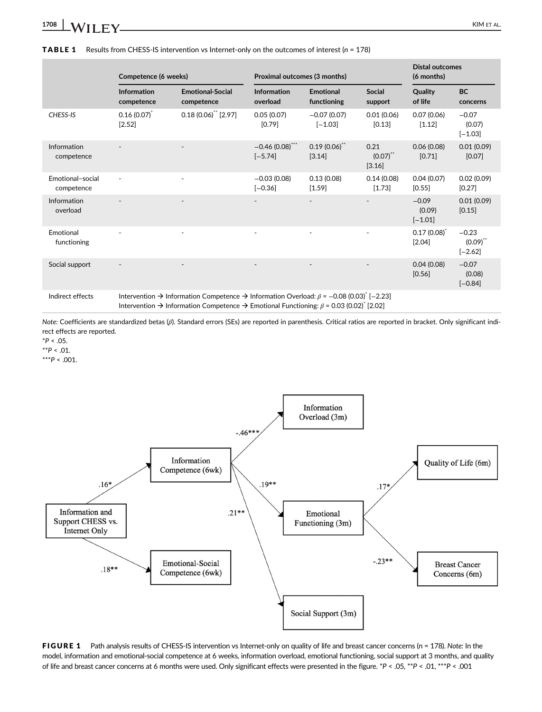**TABLE 1** Results from CHESS-IS intervention vs Internet-only on the outcomes of interest  $(n = 178)$ 

|                                | Competence (6 weeks)                                                                                                              |                                       | Proximal outcomes (3 months)   |                                 |                               | Distal outcomes<br>(6 months)     |                                       |  |  |  |
|--------------------------------|-----------------------------------------------------------------------------------------------------------------------------------|---------------------------------------|--------------------------------|---------------------------------|-------------------------------|-----------------------------------|---------------------------------------|--|--|--|
|                                | <b>Information</b><br>competence                                                                                                  | <b>Emotional-Social</b><br>competence | <b>Information</b><br>overload | <b>Emotional</b><br>functioning | <b>Social</b><br>support      | Quality<br>of life                | <b>BC</b><br>concerns                 |  |  |  |
| CHESS-IS                       | $0.16(0.07)^{^{\circ}}$<br>[2.52]                                                                                                 | $0.18(0.06)$ <sup>**</sup> [2.97]     | 0.05(0.07)<br>[0.79]           | $-0.07(0.07)$<br>$[-1.03]$      | 0.01(0.06)<br>[0.13]          | 0.07(0.06)<br>[1.12]              | $-0.07$<br>(0.07)<br>$[-1.03]$        |  |  |  |
| Information<br>competence      |                                                                                                                                   | $\blacksquare$                        | $-0.46(0.08)$ ***<br>$[-5.74]$ | 0.19(0.06)<br>[3.14]            | 0.21<br>$(0.07)$ **<br>[3.16] | 0.06(0.08)<br>[0.71]              | 0.01(0.09)<br>[0.07]                  |  |  |  |
| Emotional-social<br>competence | $\overline{\phantom{a}}$                                                                                                          | ٠                                     | $-0.03(0.08)$<br>$[-0.36]$     | 0.13(0.08)<br>$[1.59]$          | 0.14(0.08)<br>$[1.73]$        | 0.04(0.07)<br>[0.55]              | 0.02(0.09)<br>[0.27]                  |  |  |  |
| Information<br>overload        |                                                                                                                                   |                                       |                                |                                 |                               | $-0.09$<br>(0.09)<br>$[-1.01]$    | 0.01(0.09)<br>[0.15]                  |  |  |  |
| Emotional<br>functioning       |                                                                                                                                   | ×.                                    |                                |                                 | ٠                             | $0.17(0.08)^{^{\circ}}$<br>[2.04] | $-0.23$<br>$(0.09)^{11}$<br>$[-2.62]$ |  |  |  |
| Social support                 |                                                                                                                                   |                                       |                                |                                 |                               | 0.04(0.08)<br>[0.56]              | $-0.07$<br>(0.08)<br>$[-0.84]$        |  |  |  |
| Indirect effects               | Intervention $\rightarrow$ Information Competence $\rightarrow$ Information Overload: $\beta$ = -0.08 (0.03) <sup>*</sup> [-2.23] |                                       |                                |                                 |                               |                                   |                                       |  |  |  |

Intervention  $\rightarrow$  Information Competence  $\rightarrow$  Emotional Functioning:  $\beta$  = 0.03 (0.02)<sup>\*</sup> [2.02]

Note: Coefficients are standardized betas (β). Standard errors (SEs) are reported in parenthesis. Critical ratios are reported in bracket. Only significant indirect effects are reported.

 $*P < .05$ .

 $*^{*}P < .01$ .

\*\*\* $P < .001$ .



FIGURE 1 Path analysis results of CHESS-IS intervention vs Internet-only on quality of life and breast cancer concerns (n = 178). Note: In the model, information and emotional-social competence at 6 weeks, information overload, emotional functioning, social support at 3 months, and quality of life and breast cancer concerns at 6 months were used. Only significant effects were presented in the figure. \*P < .05, \*\*P < .01, \*\*\*P < .001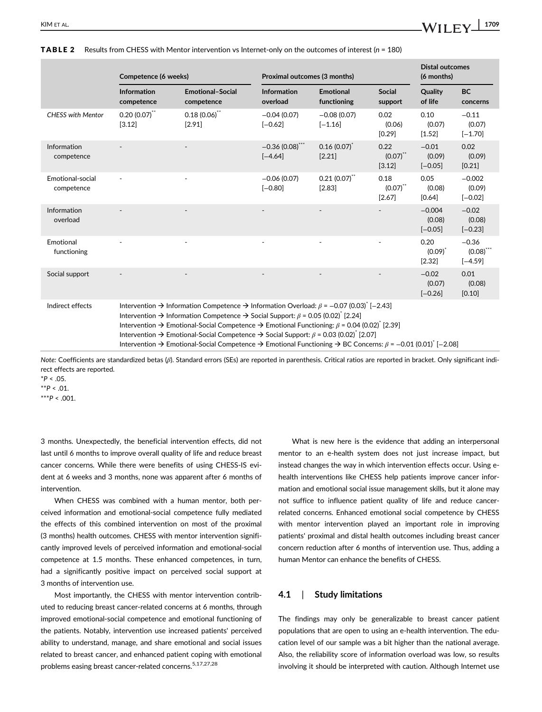|                                | Competence (6 weeks)                                                                                                                                                                                                                                                                                                                                                                                                                                                                                                                                                                                                                                                                                           |                                       | Proximal outcomes (3 months)   |                                   |                                 | <b>Distal outcomes</b><br>(6 months) |                                                 |  |  |
|--------------------------------|----------------------------------------------------------------------------------------------------------------------------------------------------------------------------------------------------------------------------------------------------------------------------------------------------------------------------------------------------------------------------------------------------------------------------------------------------------------------------------------------------------------------------------------------------------------------------------------------------------------------------------------------------------------------------------------------------------------|---------------------------------------|--------------------------------|-----------------------------------|---------------------------------|--------------------------------------|-------------------------------------------------|--|--|
|                                | Information<br>competence                                                                                                                                                                                                                                                                                                                                                                                                                                                                                                                                                                                                                                                                                      | <b>Emotional-Social</b><br>competence | Information<br>overload        | <b>Emotional</b><br>functioning   | <b>Social</b><br>support        | Quality<br>of life                   | <b>BC</b><br>concerns                           |  |  |
| <b>CHESS with Mentor</b>       | $0.20(0.07)$ **<br>[3.12]                                                                                                                                                                                                                                                                                                                                                                                                                                                                                                                                                                                                                                                                                      | $0.18(0.06)$ **<br>[2.91]             | $-0.04(0.07)$<br>$[-0.62]$     | $-0.08(0.07)$<br>$[-1.16]$        | 0.02<br>(0.06)<br>[0.29]        | 0.10<br>(0.07)<br>[1.52]             | $-0.11$<br>(0.07)<br>$[-1.70]$                  |  |  |
| Information<br>competence      |                                                                                                                                                                                                                                                                                                                                                                                                                                                                                                                                                                                                                                                                                                                |                                       | $-0.36(0.08)$ ***<br>$[-4.64]$ | $0.16(0.07)^{^{\circ}}$<br>[2.21] | 0.22<br>$(0.07)$ **<br>[3.12]   | $-0.01$<br>(0.09)<br>$[-0.05]$       | 0.02<br>(0.09)<br>[0.21]                        |  |  |
| Emotional-social<br>competence |                                                                                                                                                                                                                                                                                                                                                                                                                                                                                                                                                                                                                                                                                                                |                                       | $-0.06(0.07)$<br>$[-0.80]$     | $0.21(0.07)^{11}$<br>[2.83]       | 0.18<br>$(0.07)^{11}$<br>[2.67] | 0.05<br>(0.08)<br>[0.64]             | $-0.002$<br>(0.09)<br>$[-0.02]$                 |  |  |
| Information<br>overload        |                                                                                                                                                                                                                                                                                                                                                                                                                                                                                                                                                                                                                                                                                                                |                                       |                                |                                   |                                 | $-0.004$<br>(0.08)<br>$[-0.05]$      | $-0.02$<br>(0.08)<br>$[-0.23]$                  |  |  |
| Emotional<br>functioning       |                                                                                                                                                                                                                                                                                                                                                                                                                                                                                                                                                                                                                                                                                                                |                                       |                                |                                   |                                 | 0.20<br>$(0.09)^{r}$<br>[2.32]       | $-0.36$<br>$(0.08)$ <sup>***</sup><br>$[-4.59]$ |  |  |
| Social support                 |                                                                                                                                                                                                                                                                                                                                                                                                                                                                                                                                                                                                                                                                                                                |                                       |                                |                                   |                                 | $-0.02$<br>(0.07)<br>$[-0.26]$       | 0.01<br>(0.08)<br>[0.10]                        |  |  |
| Indirect effects               | Intervention $\rightarrow$ Information Competence $\rightarrow$ Information Overload: $\beta$ = -0.07 (0.03) <sup>*</sup> [-2.43]<br>Intervention $\rightarrow$ Information Competence $\rightarrow$ Social Support: $\beta$ = 0.05 (0.02) <sup>*</sup> [2.24]<br>Intervention $\rightarrow$ Emotional-Social Competence $\rightarrow$ Emotional Functioning: $\beta$ = 0.04 (0.02) <sup>*</sup> [2.39]<br>Intervention $\rightarrow$ Emotional-Social Competence $\rightarrow$ Social Support: $\beta$ = 0.03 (0.02) <sup>*</sup> [2.07]<br>Intervention $\rightarrow$ Emotional-Social Competence $\rightarrow$ Emotional Functioning $\rightarrow$ BC Concerns: $\beta$ = -0.01 (0.01) <sup>*</sup> [-2.08] |                                       |                                |                                   |                                 |                                      |                                                 |  |  |

#### TABLE 2 Results from CHESS with Mentor intervention vs Internet-only on the outcomes of interest (n = 180)

Note: Coefficients are standardized betas (β). Standard errors (SEs) are reported in parenthesis. Critical ratios are reported in bracket. Only significant indirect effects are reported.

 $*P < .05$ .

 $*^{*}P < .01$ .  $***P < .001$ .

3 months. Unexpectedly, the beneficial intervention effects, did not last until 6 months to improve overall quality of life and reduce breast cancer concerns. While there were benefits of using CHESS-IS evident at 6 weeks and 3 months, none was apparent after 6 months of intervention.

When CHESS was combined with a human mentor, both perceived information and emotional-social competence fully mediated the effects of this combined intervention on most of the proximal (3 months) health outcomes. CHESS with mentor intervention significantly improved levels of perceived information and emotional-social competence at 1.5 months. These enhanced competences, in turn, had a significantly positive impact on perceived social support at 3 months of intervention use.

Most importantly, the CHESS with mentor intervention contributed to reducing breast cancer-related concerns at 6 months, through improved emotional-social competence and emotional functioning of the patients. Notably, intervention use increased patients' perceived ability to understand, manage, and share emotional and social issues related to breast cancer, and enhanced patient coping with emotional problems easing breast cancer-related concerns.<sup>5,17,27,28</sup>

What is new here is the evidence that adding an interpersonal mentor to an e-health system does not just increase impact, but instead changes the way in which intervention effects occur. Using ehealth interventions like CHESS help patients improve cancer information and emotional social issue management skills, but it alone may not suffice to influence patient quality of life and reduce cancerrelated concerns. Enhanced emotional social competence by CHESS with mentor intervention played an important role in improving patients' proximal and distal health outcomes including breast cancer concern reduction after 6 months of intervention use. Thus, adding a human Mentor can enhance the benefits of CHESS.

# 4.1 | Study limitations

The findings may only be generalizable to breast cancer patient populations that are open to using an e-health intervention. The education level of our sample was a bit higher than the national average. Also, the reliability score of information overload was low, so results involving it should be interpreted with caution. Although Internet use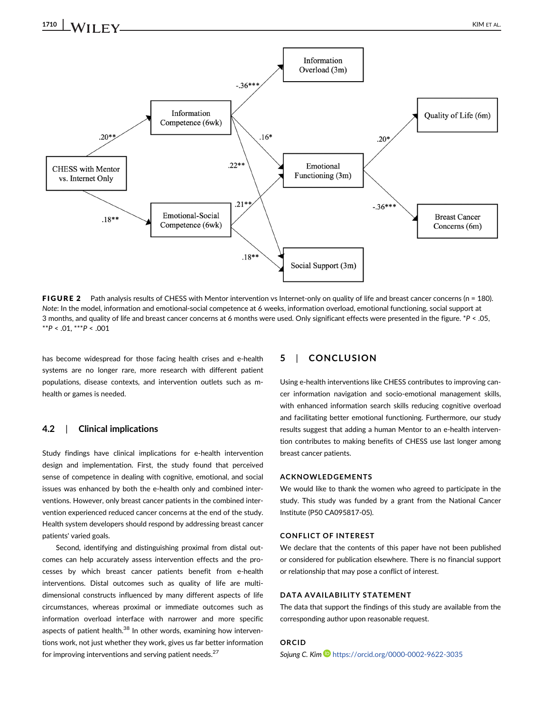

FIGURE 2 Path analysis results of CHESS with Mentor intervention vs Internet-only on quality of life and breast cancer concerns (n = 180). Note: In the model, information and emotional-social competence at 6 weeks, information overload, emotional functioning, social support at 3 months, and quality of life and breast cancer concerns at 6 months were used. Only significant effects were presented in the figure. \*P < .05,  $*^{*}P < .01, **P < .001$ 

has become widespread for those facing health crises and e-health systems are no longer rare, more research with different patient populations, disease contexts, and intervention outlets such as mhealth or games is needed.

# 4.2 | Clinical implications

Study findings have clinical implications for e-health intervention design and implementation. First, the study found that perceived sense of competence in dealing with cognitive, emotional, and social issues was enhanced by both the e-health only and combined interventions. However, only breast cancer patients in the combined intervention experienced reduced cancer concerns at the end of the study. Health system developers should respond by addressing breast cancer patients' varied goals.

Second, identifying and distinguishing proximal from distal outcomes can help accurately assess intervention effects and the processes by which breast cancer patients benefit from e-health interventions. Distal outcomes such as quality of life are multidimensional constructs influenced by many different aspects of life circumstances, whereas proximal or immediate outcomes such as information overload interface with narrower and more specific aspects of patient health.<sup>38</sup> In other words, examining how interventions work, not just whether they work, gives us far better information for improving interventions and serving patient needs. $27$ 

# 5 | CONCLUSION

Using e-health interventions like CHESS contributes to improving cancer information navigation and socio-emotional management skills, with enhanced information search skills reducing cognitive overload and facilitating better emotional functioning. Furthermore, our study results suggest that adding a human Mentor to an e-health intervention contributes to making benefits of CHESS use last longer among breast cancer patients.

#### ACKNOWLEDGEMENTS

We would like to thank the women who agreed to participate in the study. This study was funded by a grant from the National Cancer Institute (P50 CA095817-05).

#### CONFLICT OF INTEREST

We declare that the contents of this paper have not been published or considered for publication elsewhere. There is no financial support or relationship that may pose a conflict of interest.

#### DATA AVAILABILITY STATEMENT

The data that support the findings of this study are available from the corresponding author upon reasonable request.

# ORCID

Sojung C. Kim **b** <https://orcid.org/0000-0002-9622-3035>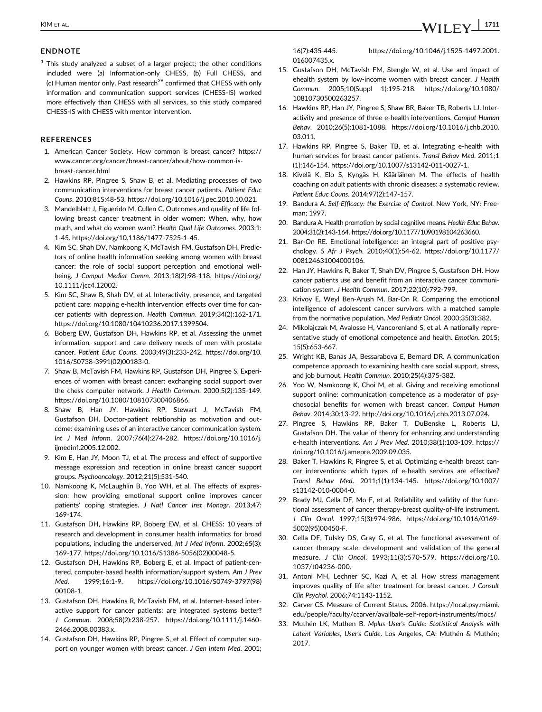## ENDNOTE

 $1$  This study analyzed a subset of a larger project; the other conditions included were (a) Information-only CHESS, (b) Full CHESS, and (c) Human mentor only. Past research<sup>28</sup> confirmed that CHESS with only information and communication support services (CHESS-IS) worked more effectively than CHESS with all services, so this study compared CHESS-IS with CHESS with mentor intervention.

## REFERENCES

- 1. American Cancer Society. How common is breast cancer? [https://](https://www.cancer.org/cancer/breast-cancer/about/how-common-is-breast-cancer.html) [www.cancer.org/cancer/breast-cancer/about/how-common-is](https://www.cancer.org/cancer/breast-cancer/about/how-common-is-breast-cancer.html)[breast-cancer.html](https://www.cancer.org/cancer/breast-cancer/about/how-common-is-breast-cancer.html)
- 2. Hawkins RP, Pingree S, Shaw B, et al. Mediating processes of two communication interventions for breast cancer patients. Patient Educ Couns. 2010;81S:48-53. [https://doi.org/10.1016/j.pec.2010.10.021.](https://doi.org/10.1016/j.pec.2010.10.021)
- 3. Mandelblatt J, Figuerido M, Cullen C. Outcomes and quality of life following breast cancer treatment in older women: When, why, how much, and what do women want? Health Qual Life Outcomes. 2003;1: 1-45.<https://doi.org/10.1186/1477-7525-1-45>.
- 4. Kim SC, Shah DV, Namkoong K, McTavish FM, Gustafson DH. Predictors of online health information seeking among women with breast cancer: the role of social support perception and emotional wellbeing. J Comput Mediat Comm. 2013;18(2):98-118. [https://doi.org/](https://doi.org/10.1111/jcc4.12002) [10.1111/jcc4.12002](https://doi.org/10.1111/jcc4.12002).
- 5. Kim SC, Shaw B, Shah DV, et al. Interactivity, presence, and targeted patient care: mapping e-health intervention effects over time for cancer patients with depression. Health Commun. 2019;34(2):162-171. [https://doi.org/10.1080/10410236.2017.1399504.](https://doi.org/10.1080/10410236.2017.1399504)
- 6. Boberg EW, Gustafson DH, Hawkins RP, et al. Assessing the unmet information, support and care delivery needs of men with prostate cancer. Patient Educ Couns. 2003;49(3):233-242. [https://doi.org/10.](https://doi.org/10.1016/S0738-3991(02)00183-0) [1016/S0738-3991\(02\)00183-0.](https://doi.org/10.1016/S0738-3991(02)00183-0)
- 7. Shaw B, McTavish FM, Hawkins RP, Gustafson DH, Pingree S. Experiences of women with breast cancer: exchanging social support over the chess computer network. J Health Commun. 2000;5(2):135-149. [https://doi.org/10.1080/108107300406866.](https://doi.org/10.1080/108107300406866)
- 8. Shaw B, Han JY, Hawkins RP, Stewart J, McTavish FM, Gustafson DH. Doctor-patient relationship as motivation and outcome: examining uses of an interactive cancer communication system. Int J Med Inform. 2007;76(4):274-282. [https://doi.org/10.1016/j.](https://doi.org/10.1016/j.ijmedinf.2005.12.002) [ijmedinf.2005.12.002](https://doi.org/10.1016/j.ijmedinf.2005.12.002).
- 9. Kim E, Han JY, Moon TJ, et al. The process and effect of supportive message expression and reception in online breast cancer support groups. Psychooncology. 2012;21(5):531-540.
- 10. Namkoong K, McLaughlin B, Yoo WH, et al. The effects of expression: how providing emotional support online improves cancer patients' coping strategies. J Natl Cancer Inst Monogr. 2013;47: 169-174.
- 11. Gustafson DH, Hawkins RP, Boberg EW, et al. CHESS: 10 years of research and development in consumer health informatics for broad populations, including the underserved. Int J Med Inform. 2002;65(3): 169-177. [https://doi.org/10.1016/S1386-5056\(02\)00048-5](https://doi.org/10.1016/S1386-5056(02)00048-5).
- 12. Gustafson DH, Hawkins RP, Boberg E, et al. Impact of patient-centered, computer-based health information/support system. Am J Prev Med. 1999;16:1-9. [https://doi.org/10.1016/S0749-3797\(98\)](https://doi.org/10.1016/S0749-3797(98)00108-1) [00108-1](https://doi.org/10.1016/S0749-3797(98)00108-1).
- 13. Gustafson DH, Hawkins R, McTavish FM, et al. Internet-based interactive support for cancer patients: are integrated systems better? J Commun. 2008;58(2):238-257. [https://doi.org/10.1111/j.1460-](https://doi.org/10.1111/j.1460-2466.2008.00383.x) [2466.2008.00383.x](https://doi.org/10.1111/j.1460-2466.2008.00383.x).
- 14. Gustafson DH, Hawkins RP, Pingree S, et al. Effect of computer support on younger women with breast cancer. J Gen Intern Med. 2001;

16(7):435-445. [https://doi.org/10.1046/j.1525-1497.2001.](https://doi.org/10.1046/j.1525-1497.2001.016007435.x) 016007435x

- 15. Gustafson DH, McTavish FM, Stengle W, et al. Use and impact of ehealth system by low-income women with breast cancer. J Health Commun. 2005;10(Suppl 1):195-218. [https://doi.org/10.1080/](https://doi.org/10.1080/10810730500263257) [10810730500263257.](https://doi.org/10.1080/10810730500263257)
- 16. Hawkins RP, Han JY, Pingree S, Shaw BR, Baker TB, Roberts LJ. Interactivity and presence of three e-health interventions. Comput Human Behav. 2010;26(5):1081-1088. [https://doi.org/10.1016/j.chb.2010.](https://doi.org/10.1016/j.chb.2010.03.011) [03.011](https://doi.org/10.1016/j.chb.2010.03.011).
- 17. Hawkins RP, Pingree S, Baker TB, et al. Integrating e-health with human services for breast cancer patients. Transl Behav Med. 2011;1 (1):146-154. [https://doi.org/10.1007/s13142-011-0027-1.](https://doi.org/10.1007/s13142-011-0027-1)
- 18. Kivelä K, Elo S, Kyngäs H, Kääriäinen M. The effects of health coaching on adult patients with chronic diseases: a systematic review. Patient Educ Couns. 2014;97(2):147-157.
- 19. Bandura A. Self-Efficacy: the Exercise of Control. New York, NY: Freeman; 1997.
- 20. Bandura A. Health promotion by social cognitive means. Health Educ Behav. 2004;31(2):143-164.<https://doi.org/10.1177/1090198104263660>.
- 21. Bar-On RE. Emotional intelligence: an integral part of positive psychology. S Afr J Psych. 2010;40(1):54-62. [https://doi.org/10.1177/](https://doi.org/10.1177/008124631004000106) [008124631004000106](https://doi.org/10.1177/008124631004000106).
- 22. Han JY, Hawkins R, Baker T, Shah DV, Pingree S, Gustafson DH. How cancer patients use and benefit from an interactive cancer communication system. J Health Commun. 2017;22(10):792-799.
- 23. Krivoy E, Weyl Ben-Arush M, Bar-On R. Comparing the emotional intelligence of adolescent cancer survivors with a matched sample from the normative population. Med Pediatr Oncol. 2000;35(3):382.
- 24. Mikolajczak M, Avalosse H, Vancorenland S, et al. A nationally representative study of emotional competence and health. Emotion. 2015; 15(5):653-667.
- 25. Wright KB, Banas JA, Bessarabova E, Bernard DR. A communication competence approach to examining health care social support, stress, and job burnout. Health Commun. 2010;25(4):375-382.
- 26. Yoo W, Namkoong K, Choi M, et al. Giving and receiving emotional support online: communication competence as a moderator of psychosocial benefits for women with breast cancer. Comput Human Behav. 2014;30:13-22.<http://doi.org/10.1016/j.chb.2013.07.024>.
- 27. Pingree S, Hawkins RP, Baker T, DuBenske L, Roberts LJ, Gustafson DH. The value of theory for enhancing and understanding e-health interventions. Am J Prev Med. 2010;38(1):103-109. [https://](https://doi.org/10.1016/j.amepre.2009.09.035) [doi.org/10.1016/j.amepre.2009.09.035](https://doi.org/10.1016/j.amepre.2009.09.035).
- 28. Baker T, Hawkins R, Pingree S, et al. Optimizing e-health breast cancer interventions: which types of e-health services are effective? Transl Behav Med. 2011;1(1):134-145. [https://doi.org/10.1007/](https://doi.org/10.1007/s13142-010-0004-0) [s13142-010-0004-0](https://doi.org/10.1007/s13142-010-0004-0).
- 29. Brady MJ, Cella DF, Mo F, et al. Reliability and validity of the functional assessment of cancer therapy-breast quality-of-life instrument. J Clin Oncol. 1997;15(3):974-986. [https://doi.org/10.1016/0169-](https://doi.org/10.1016/0169-5002(95)00450-F) [5002\(95\)00450-F.](https://doi.org/10.1016/0169-5002(95)00450-F)
- 30. Cella DF, Tulsky DS, Gray G, et al. The functional assessment of cancer therapy scale: development and validation of the general measure. J Clin Oncol. 1993;11(3):570-579. [https://doi.org/10.](https://doi.org/10.1037/t04236-000) [1037/t04236-000](https://doi.org/10.1037/t04236-000).
- 31. Antoni MH, Lechner SC, Kazi A, et al. How stress management improves quality of life after treatment for breast cancer. J Consult Clin Psychol. 2006;74:1143-1152.
- 32. Carver CS. Measure of Current Status. 2006. [https://local.psy.miami.](https://local.psy.miami.edu/people/faculty/ccarver/availbale-self-report-instruments/mocs/) [edu/people/faculty/ccarver/availbale-self-report-instruments/mocs/](https://local.psy.miami.edu/people/faculty/ccarver/availbale-self-report-instruments/mocs/)
- 33. Muthén LK, Muthen B. Mplus User's Guide: Statistical Analysis with Latent Variables, User's Guide. Los Angeles, CA: Muthén & Muthén; 2017.